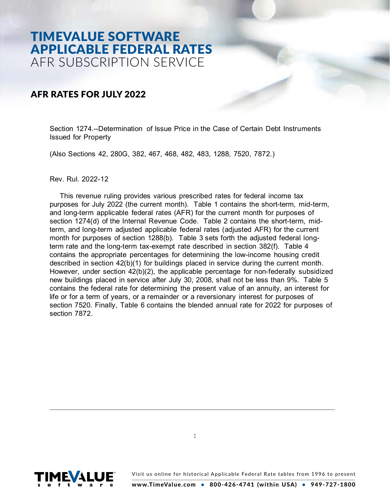# TIMEVALUE SOFTWARE APPLICABLE FEDERAL RATES AFR SUBSCRIPTION SERVICE

# AFR RATES FOR JULY 2022

Section 1274.--Determination of Issue Price in the Case of Certain Debt Instruments Issued for Property

(Also Sections 42, 280G, 382, 467, 468, 482, 483, 1288, 7520, 7872.)

Rev. Rul. 2022-12

This revenue ruling provides various prescribed rates for federal income tax purposes for July 2022 (the current month). Table 1 contains the short-term, mid-term, and long-term applicable federal rates (AFR) for the current month for purposes of section 1274(d) of the Internal Revenue Code. Table 2 contains the short-term, midterm, and long-term adjusted applicable federal rates (adjusted AFR) for the current month for purposes of section 1288(b). Table 3 sets forth the adjusted federal longterm rate and the long-term tax-exempt rate described in section 382(f). Table 4 contains the appropriate percentages for determining the low-income housing credit described in section 42(b)(1) for buildings placed in service during the current month. However, under section 42(b)(2), the applicable percentage for non-federally subsidized new buildings placed in service after July 30, 2008, shall not be less than 9%. Table 5 contains the federal rate for determining the present value of an annuity, an interest for life or for a term of years, or a remainder or a reversionary interest for purposes of section 7520. Finally, Table 6 contains the blended annual rate for 2022 for purposes of section 7872.

1

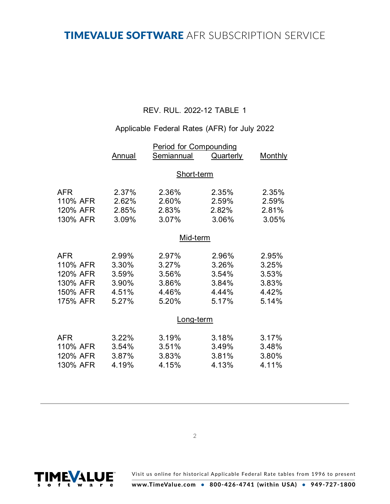# TIMEVALUE SOFTWARE AFR SUBSCRIPTION SERVICE

## REV. RUL. 2022-12 TABLE 1

## Applicable Federal Rates (AFR) for July 2022

|            | <b>Period for Compounding</b> |                   |           |                |
|------------|-------------------------------|-------------------|-----------|----------------|
|            | Annual                        | Semiannual        | Quarterly | <b>Monthly</b> |
|            |                               |                   |           |                |
|            |                               | <b>Short-term</b> |           |                |
| <b>AFR</b> | 2.37%                         | 2.36%             | 2.35%     | 2.35%          |
| 110% AFR   | 2.62%                         | 2.60%             | 2.59%     | 2.59%          |
| 120% AFR   | 2.85%                         | 2.83%             | 2.82%     | 2.81%          |
| 130% AFR   | 3.09%                         | 3.07%             | 3.06%     | 3.05%          |
|            | Mid-term                      |                   |           |                |
|            |                               |                   |           |                |
| <b>AFR</b> | 2.99%                         | 2.97%             | 2.96%     | 2.95%          |
| 110% AFR   | 3.30%                         | 3.27%             | 3.26%     | 3.25%          |
| 120% AFR   | 3.59%                         | 3.56%             | 3.54%     | 3.53%          |
| 130% AFR   | 3.90%                         | 3.86%             | 3.84%     | 3.83%          |
| 150% AFR   | 4.51%                         | 4.46%             | 4.44%     | 4.42%          |
| 175% AFR   | 5.27%                         | 5.20%             | 5.17%     | 5.14%          |
|            |                               | Long-term         |           |                |
| <b>AFR</b> | 3.22%                         | 3.19%             | 3.18%     | 3.17%          |
| 110% AFR   | 3.54%                         | 3.51%             | 3.49%     | 3.48%          |
| 120% AFR   | 3.87%                         | 3.83%             | 3.81%     | 3.80%          |
| 130% AFR   | 4.19%                         | 4.15%             | 4.13%     | 4.11%          |
|            |                               |                   |           |                |

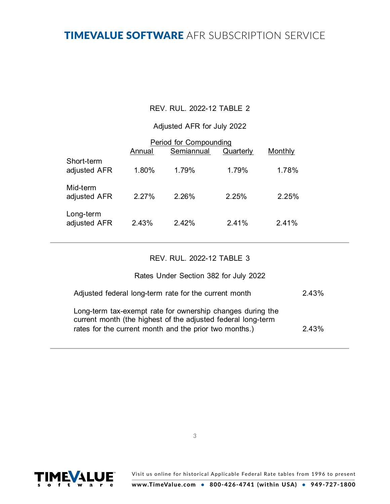# TIMEVALUE SOFTWARE AFR SUBSCRIPTION SERVICE

## REV. RUL. 2022-12 TABLE 2

### Adjusted AFR for July 2022

|                            | Annual | Period for Compounding<br>Semiannual | Quarterly | Monthly |  |
|----------------------------|--------|--------------------------------------|-----------|---------|--|
| Short-term<br>adjusted AFR | 1.80%  | 1.79%                                | 1.79%     | 1.78%   |  |
| Mid-term<br>adjusted AFR   | 2.27%  | 2.26%                                | 2.25%     | 2.25%   |  |
| Long-term<br>adjusted AFR  | 2.43%  | 2.42%                                | 2.41%     | 2.41%   |  |

#### REV. RUL. 2022-12 TABLE 3

#### Rates Under Section 382 for July 2022

| Adjusted federal long-term rate for the current month                                                                                                                                | 2.43% |
|--------------------------------------------------------------------------------------------------------------------------------------------------------------------------------------|-------|
| Long-term tax-exempt rate for ownership changes during the<br>current month (the highest of the adjusted federal long-term<br>rates for the current month and the prior two months.) | 2.43% |